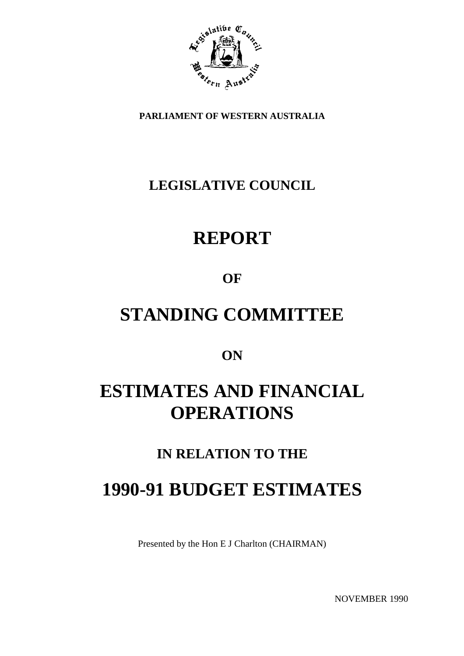

**PARLIAMENT OF WESTERN AUSTRALIA**

## **LEGISLATIVE COUNCIL**

## **REPORT**

## **OF**

## **STANDING COMMITTEE**

## **ON**

## **ESTIMATES AND FINANCIAL OPERATIONS**

## **IN RELATION TO THE**

## **1990-91 BUDGET ESTIMATES**

Presented by the Hon E J Charlton (CHAIRMAN)

NOVEMBER 1990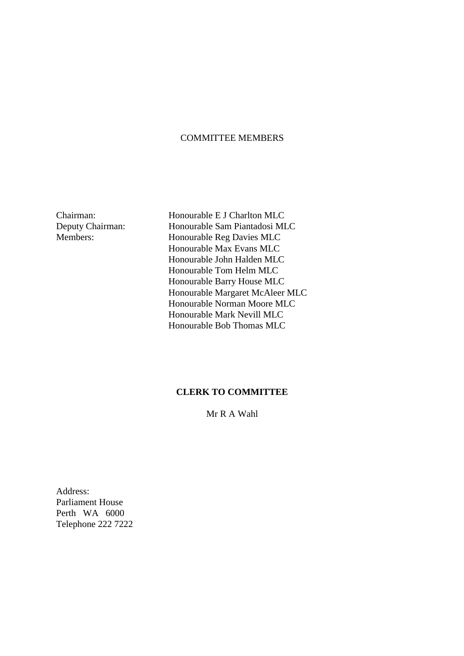#### COMMITTEE MEMBERS

Chairman: Honourable E J Charlton MLC Deputy Chairman: Honourable Sam Piantadosi MLC Members: Honourable Reg Davies MLC Honourable Max Evans MLC Honourable John Halden MLC Honourable Tom Helm MLC Honourable Barry House MLC Honourable Margaret McAleer MLC Honourable Norman Moore MLC Honourable Mark Nevill MLC Honourable Bob Thomas MLC

#### **CLERK TO COMMITTEE**

Mr R A Wahl

Address: Parliament House Perth WA 6000 Telephone 222 7222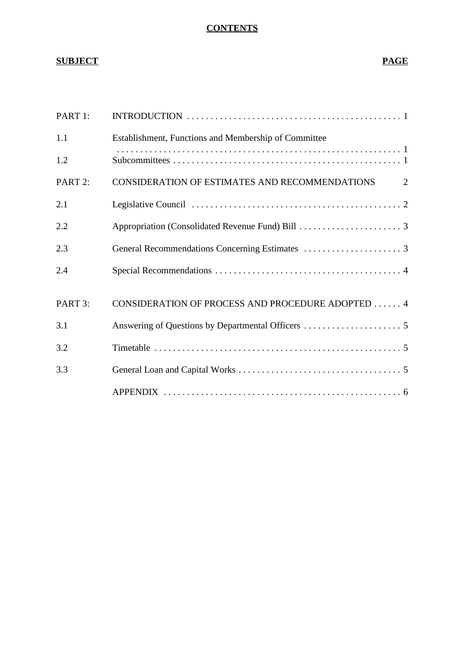#### **CONTENTS**

### **SUBJECT PAGE**

| PART 1: |                                                      |
|---------|------------------------------------------------------|
| 1.1     | Establishment, Functions and Membership of Committee |
| 1.2     |                                                      |
| PART 2: | CONSIDERATION OF ESTIMATES AND RECOMMENDATIONS<br>2  |
| 2.1     |                                                      |
| 2.2     |                                                      |
| 2.3     |                                                      |
| 2.4     |                                                      |
| PART 3: | CONSIDERATION OF PROCESS AND PROCEDURE ADOPTED 4     |
| 3.1     |                                                      |
| 3.2     |                                                      |
| 3.3     |                                                      |
|         |                                                      |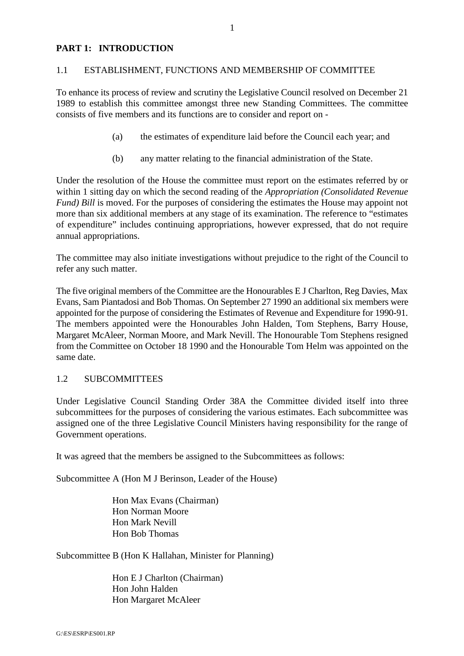#### **PART 1: INTRODUCTION**

#### 1.1 ESTABLISHMENT, FUNCTIONS AND MEMBERSHIP OF COMMITTEE

To enhance its process of review and scrutiny the Legislative Council resolved on December 21 1989 to establish this committee amongst three new Standing Committees. The committee consists of five members and its functions are to consider and report on -

- (a) the estimates of expenditure laid before the Council each year; and
- (b) any matter relating to the financial administration of the State.

Under the resolution of the House the committee must report on the estimates referred by or within 1 sitting day on which the second reading of the *Appropriation (Consolidated Revenue Fund) Bill* is moved. For the purposes of considering the estimates the House may appoint not more than six additional members at any stage of its examination. The reference to "estimates of expenditure" includes continuing appropriations, however expressed, that do not require annual appropriations.

The committee may also initiate investigations without prejudice to the right of the Council to refer any such matter.

The five original members of the Committee are the Honourables E J Charlton, Reg Davies, Max Evans, Sam Piantadosi and Bob Thomas. On September 27 1990 an additional six members were appointed for the purpose of considering the Estimates of Revenue and Expenditure for 1990-91. The members appointed were the Honourables John Halden, Tom Stephens, Barry House, Margaret McAleer, Norman Moore, and Mark Nevill. The Honourable Tom Stephens resigned from the Committee on October 18 1990 and the Honourable Tom Helm was appointed on the same date.

#### 1.2 SUBCOMMITTEES

Under Legislative Council Standing Order 38A the Committee divided itself into three subcommittees for the purposes of considering the various estimates. Each subcommittee was assigned one of the three Legislative Council Ministers having responsibility for the range of Government operations.

It was agreed that the members be assigned to the Subcommittees as follows:

Subcommittee A (Hon M J Berinson, Leader of the House)

Hon Max Evans (Chairman) Hon Norman Moore Hon Mark Nevill Hon Bob Thomas

Subcommittee B (Hon K Hallahan, Minister for Planning)

Hon E J Charlton (Chairman) Hon John Halden Hon Margaret McAleer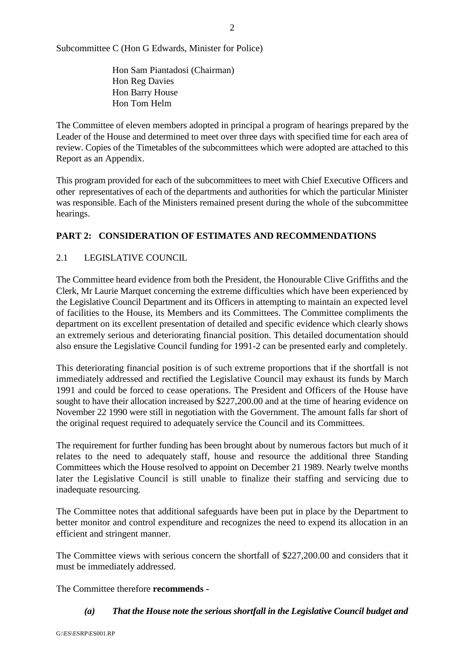Subcommittee C (Hon G Edwards, Minister for Police)

Hon Sam Piantadosi (Chairman) Hon Reg Davies Hon Barry House Hon Tom Helm

The Committee of eleven members adopted in principal a program of hearings prepared by the Leader of the House and determined to meet over three days with specified time for each area of review. Copies of the Timetables of the subcommittees which were adopted are attached to this Report as an Appendix.

This program provided for each of the subcommittees to meet with Chief Executive Officers and other representatives of each of the departments and authorities for which the particular Minister was responsible. Each of the Ministers remained present during the whole of the subcommittee hearings.

#### **PART 2: CONSIDERATION OF ESTIMATES AND RECOMMENDATIONS**

#### 2.1 LEGISLATIVE COUNCIL

The Committee heard evidence from both the President, the Honourable Clive Griffiths and the Clerk, Mr Laurie Marquet concerning the extreme difficulties which have been experienced by the Legislative Council Department and its Officers in attempting to maintain an expected level of facilities to the House, its Members and its Committees. The Committee compliments the department on its excellent presentation of detailed and specific evidence which clearly shows an extremely serious and deteriorating financial position. This detailed documentation should also ensure the Legislative Council funding for 1991-2 can be presented early and completely.

This deteriorating financial position is of such extreme proportions that if the shortfall is not immediately addressed and rectified the Legislative Council may exhaust its funds by March 1991 and could be forced to cease operations. The President and Officers of the House have sought to have their allocation increased by \$227,200.00 and at the time of hearing evidence on November 22 1990 were still in negotiation with the Government. The amount falls far short of the original request required to adequately service the Council and its Committees.

The requirement for further funding has been brought about by numerous factors but much of it relates to the need to adequately staff, house and resource the additional three Standing Committees which the House resolved to appoint on December 21 1989. Nearly twelve months later the Legislative Council is still unable to finalize their staffing and servicing due to inadequate resourcing.

The Committee notes that additional safeguards have been put in place by the Department to better monitor and control expenditure and recognizes the need to expend its allocation in an efficient and stringent manner.

The Committee views with serious concern the shortfall of \$227,200.00 and considers that it must be immediately addressed.

The Committee therefore **recommends -**

*(a) That the House note the serious shortfall in the Legislative Council budget and*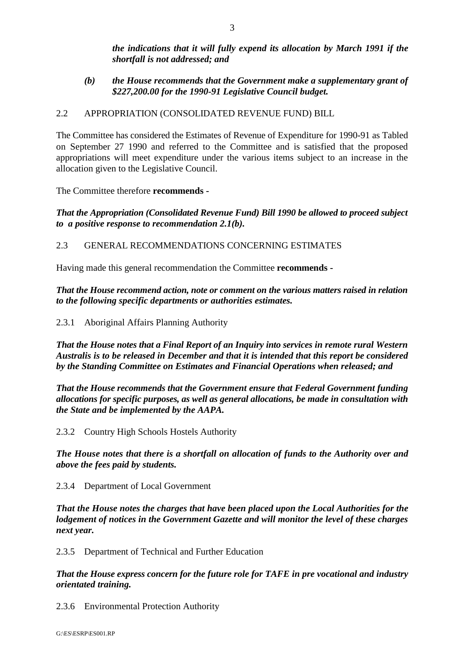*the indications that it will fully expend its allocation by March 1991 if the shortfall is not addressed; and*

*(b) the House recommends that the Government make a supplementary grant of \$227,200.00 for the 1990-91 Legislative Council budget.*

#### 2.2 APPROPRIATION (CONSOLIDATED REVENUE FUND) BILL

The Committee has considered the Estimates of Revenue of Expenditure for 1990-91 as Tabled on September 27 1990 and referred to the Committee and is satisfied that the proposed appropriations will meet expenditure under the various items subject to an increase in the allocation given to the Legislative Council.

The Committee therefore **recommends -**

*That the Appropriation (Consolidated Revenue Fund) Bill 1990 be allowed to proceed subject to a positive response to recommendation 2.1(b).*

#### 2.3 GENERAL RECOMMENDATIONS CONCERNING ESTIMATES

Having made this general recommendation the Committee **recommends -**

*That the House recommend action, note or comment on the various matters raised in relation to the following specific departments or authorities estimates.*

2.3.1 Aboriginal Affairs Planning Authority

*That the House notes that a Final Report of an Inquiry into services in remote rural Western Australis is to be released in December and that it is intended that this report be considered by the Standing Committee on Estimates and Financial Operations when released; and*

*That the House recommends that the Government ensure that Federal Government funding allocations for specific purposes, as well as general allocations, be made in consultation with the State and be implemented by the AAPA.*

2.3.2 Country High Schools Hostels Authority

*The House notes that there is a shortfall on allocation of funds to the Authority over and above the fees paid by students.*

2.3.4 Department of Local Government

*That the House notes the charges that have been placed upon the Local Authorities for the lodgement of notices in the Government Gazette and will monitor the level of these charges next year.*

2.3.5 Department of Technical and Further Education

*That the House express concern for the future role for TAFE in pre vocational and industry orientated training.*

2.3.6 Environmental Protection Authority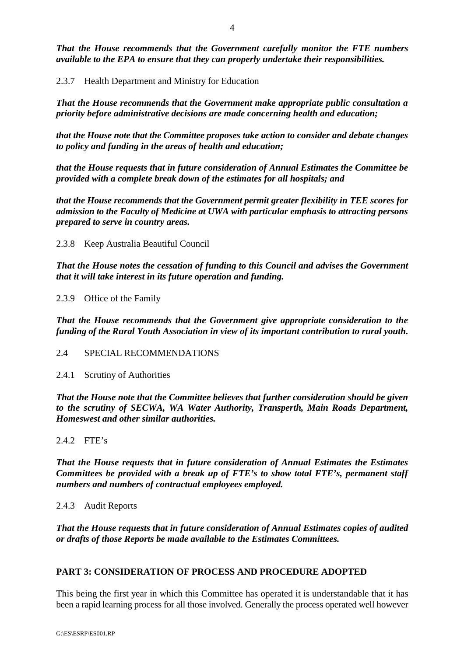*That the House recommends that the Government carefully monitor the FTE numbers available to the EPA to ensure that they can properly undertake their responsibilities.*

2.3.7 Health Department and Ministry for Education

*That the House recommends that the Government make appropriate public consultation a priority before administrative decisions are made concerning health and education;*

*that the House note that the Committee proposes take action to consider and debate changes to policy and funding in the areas of health and education;*

*that the House requests that in future consideration of Annual Estimates the Committee be provided with a complete break down of the estimates for all hospitals; and*

*that the House recommends that the Government permit greater flexibility in TEE scores for admission to the Faculty of Medicine at UWA with particular emphasis to attracting persons prepared to serve in country areas.*

2.3.8 Keep Australia Beautiful Council

*That the House notes the cessation of funding to this Council and advises the Government that it will take interest in its future operation and funding.*

2.3.9 Office of the Family

*That the House recommends that the Government give appropriate consideration to the funding of the Rural Youth Association in view of its important contribution to rural youth.*

2.4 SPECIAL RECOMMENDATIONS

2.4.1 Scrutiny of Authorities

*That the House note that the Committee believes that further consideration should be given to the scrutiny of SECWA, WA Water Authority, Transperth, Main Roads Department, Homeswest and other similar authorities.*

2.4.2 FTE's

*That the House requests that in future consideration of Annual Estimates the Estimates Committees be provided with a break up of FTE's to show total FTE's, permanent staff numbers and numbers of contractual employees employed.*

2.4.3 Audit Reports

*That the House requests that in future consideration of Annual Estimates copies of audited or drafts of those Reports be made available to the Estimates Committees.*

#### **PART 3: CONSIDERATION OF PROCESS AND PROCEDURE ADOPTED**

This being the first year in which this Committee has operated it is understandable that it has been a rapid learning process for all those involved. Generally the process operated well however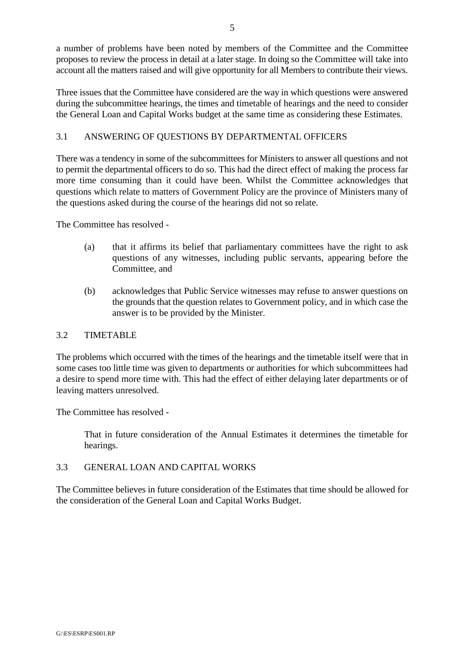a number of problems have been noted by members of the Committee and the Committee proposes to review the process in detail at a later stage. In doing so the Committee will take into account all the matters raised and will give opportunity for all Members to contribute their views.

Three issues that the Committee have considered are the way in which questions were answered during the subcommittee hearings, the times and timetable of hearings and the need to consider the General Loan and Capital Works budget at the same time as considering these Estimates.

#### 3.1 ANSWERING OF QUESTIONS BY DEPARTMENTAL OFFICERS

There was a tendency in some of the subcommittees for Ministers to answer all questions and not to permit the departmental officers to do so. This had the direct effect of making the process far more time consuming than it could have been. Whilst the Committee acknowledges that questions which relate to matters of Government Policy are the province of Ministers many of the questions asked during the course of the hearings did not so relate.

The Committee has resolved -

- (a) that it affirms its belief that parliamentary committees have the right to ask questions of any witnesses, including public servants, appearing before the Committee, and
- (b) acknowledges that Public Service witnesses may refuse to answer questions on the grounds that the question relates to Government policy, and in which case the answer is to be provided by the Minister.

#### 3.2 TIMETABLE

The problems which occurred with the times of the hearings and the timetable itself were that in some cases too little time was given to departments or authorities for which subcommittees had a desire to spend more time with. This had the effect of either delaying later departments or of leaving matters unresolved.

The Committee has resolved -

That in future consideration of the Annual Estimates it determines the timetable for hearings.

#### 3.3 GENERAL LOAN AND CAPITAL WORKS

The Committee believes in future consideration of the Estimates that time should be allowed for the consideration of the General Loan and Capital Works Budget.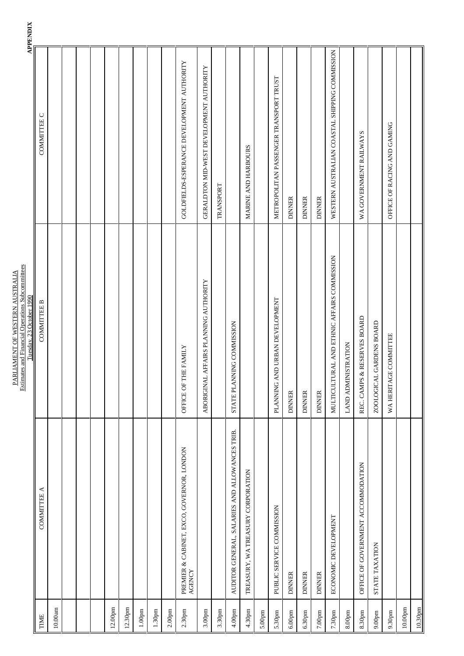|                     |                                                     | Tuesday, 23 October 1990                    | <b>APPENDIX</b>                                |
|---------------------|-----------------------------------------------------|---------------------------------------------|------------------------------------------------|
| TIME                | COMMITTEE A                                         | <b>COMMITTEE B</b>                          | COMMITTEE C                                    |
| 10.00am             |                                                     |                                             |                                                |
|                     |                                                     |                                             |                                                |
|                     |                                                     |                                             |                                                |
|                     |                                                     |                                             |                                                |
| 12.00pm             |                                                     |                                             |                                                |
| 12.30pm             |                                                     |                                             |                                                |
| $1.00pm$            |                                                     |                                             |                                                |
| 1.30 <sub>pm</sub>  |                                                     |                                             |                                                |
| 2.00 <sub>pm</sub>  |                                                     |                                             |                                                |
| $2.30 \mathrm{pm}$  | PREMIER & CABINET, EXCO, GOVERNOR, LONDON<br>AGENCY | OFFICE OF THE FAMILY                        | GOLDFIELDS-ESPERANCE DEVELOPMENT AUTHORITY     |
| 3.00 <sub>pm</sub>  |                                                     | ABORIGINAL AFFAIRS PLANNING AUTHORITY       | GERALDTON MID-WEST DEVELOPMENT AUTHORITY       |
| 3.30pm              |                                                     |                                             | TRANSPORT                                      |
| 4.00 <sub>pm</sub>  | AUDITOR GENERAL, SALARIES AND ALLOWANCES TRIB       | STATE PLANNING COMMISSION                   |                                                |
| 4.30pm              | TREASURY, WA TREASURY CORPORATION                   |                                             | MARINE AND HARBOURS                            |
| 5.00 <sub>pm</sub>  |                                                     |                                             |                                                |
| 5.30pm              | PUBLIC SERVICE COMMISSION                           | PLANNING AND URBAN DEVELOPMENT              | METROPOLITAN PASSENGER TRANSPORT TRUST         |
| $6.00 \mathrm{pm}$  | <b>DINNER</b>                                       | <b>DINNER</b>                               | <b>DINNER</b>                                  |
| 6.30 <sub>pm</sub>  | <b>DINNER</b>                                       | <b>DINNER</b>                               | <b>DINNER</b>                                  |
| $7.00\mathrm{pm}$   | <b>DINNER</b>                                       | <b>DINNER</b>                               | <b>DINNER</b>                                  |
| 7.30 <sub>pm</sub>  | ECONOMIC DEVELOPMENT                                | MULTICULTURAL AND ETHNIC AFFAIRS COMMISSION | WESTERN AUSTRALIAN COASTAL SHIPPING COMMISSION |
| 8.00 <sub>pm</sub>  |                                                     | LAND ADMINISTRATION                         |                                                |
| 8.30pm              | OFFICE OF GOVERNMENT ACCOMMODATION                  | REC. CAMPS & RESERVES BOARD                 | WA GOVERNMENT RAILWAYS                         |
| $9.00pm$            | STATE TAXATION                                      | ZOOLOGICAL GARDENS BOARD                    |                                                |
| 9.30 <sub>pm</sub>  |                                                     | WA HERITAGE COMMITTEE                       | OFFICE OF RACING AND GAMING                    |
| 10.00 <sub>pm</sub> |                                                     |                                             |                                                |
| 10.30 <sub>pm</sub> |                                                     |                                             |                                                |

PARLIAMENT OF WESTERN AUSTRALIA Estimates and Financial Operations Subcommittees

PARLIAMENT OF WESTERN AUSTRALIA<br>Estimates and Financial Operations Subcommittees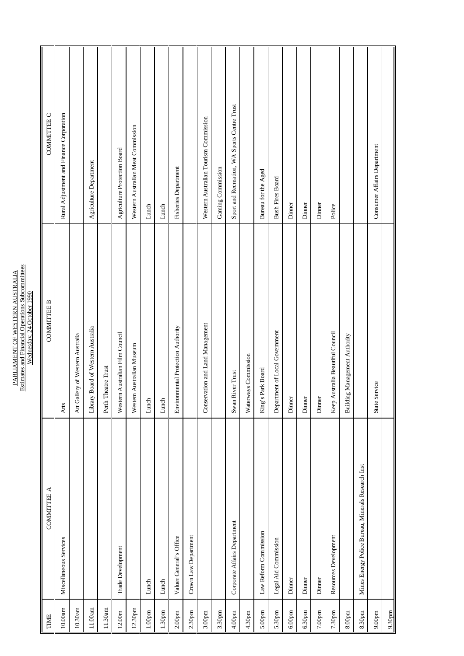| Estimates and Financial Operations Subcommittees<br>PARLIAMENT OF WESTERN AUSTRALI<br>Wednesday, 24 October 1990 |
|------------------------------------------------------------------------------------------------------------------|
|------------------------------------------------------------------------------------------------------------------|